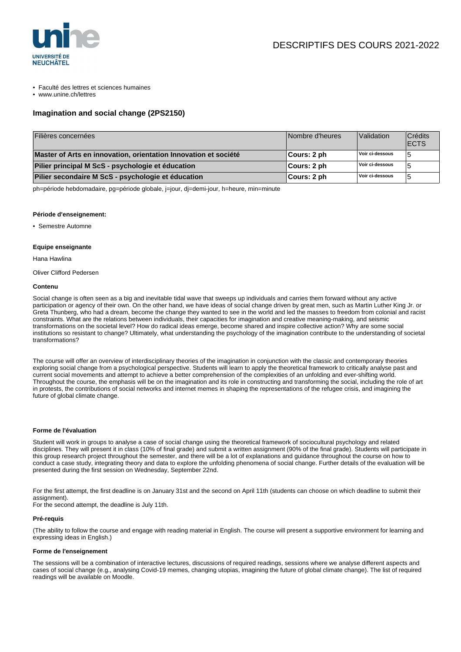

- Faculté des lettres et sciences humaines
- www.unine.ch/lettres

# **Imagination and social change (2PS2150)**

| Filières concernées                                             | Nombre d'heures | Validation      | Crédits<br><b>IECTS</b> |
|-----------------------------------------------------------------|-----------------|-----------------|-------------------------|
| Master of Arts en innovation, orientation Innovation et société | ∣Cours: 2 ph    | Voir ci-dessous |                         |
| Pilier principal M ScS - psychologie et éducation               | ∣Cours: 2 ph    | Voir ci-dessous |                         |
| Pilier secondaire M ScS - psychologie et éducation              | Cours: 2 ph     | Voir ci-dessous |                         |

ph=période hebdomadaire, pg=période globale, j=jour, dj=demi-jour, h=heure, min=minute

## **Période d'enseignement:**

• Semestre Automne

## **Equipe enseignante**

Hana Hawlina

Oliver Clifford Pedersen

## **Contenu**

Social change is often seen as a big and inevitable tidal wave that sweeps up individuals and carries them forward without any active participation or agency of their own. On the other hand, we have ideas of social change driven by great men, such as Martin Luther King Jr. or Greta Thunberg, who had a dream, become the change they wanted to see in the world and led the masses to freedom from colonial and racist constraints. What are the relations between individuals, their capacities for imagination and creative meaning-making, and seismic transformations on the societal level? How do radical ideas emerge, become shared and inspire collective action? Why are some social institutions so resistant to change? Ultimately, what understanding the psychology of the imagination contribute to the understanding of societal transformations?

The course will offer an overview of interdisciplinary theories of the imagination in conjunction with the classic and contemporary theories exploring social change from a psychological perspective. Students will learn to apply the theoretical framework to critically analyse past and current social movements and attempt to achieve a better comprehension of the complexities of an unfolding and ever-shifting world. Throughout the course, the emphasis will be on the imagination and its role in constructing and transforming the social, including the role of art in protests, the contributions of social networks and internet memes in shaping the representations of the refugee crisis, and imagining the future of global climate change.

# **Forme de l'évaluation**

Student will work in groups to analyse a case of social change using the theoretical framework of sociocultural psychology and related disciplines. They will present it in class (10% of final grade) and submit a written assignment (90% of the final grade). Students will participate in this group research project throughout the semester, and there will be a lot of explanations and guidance throughout the course on how to conduct a case study, integrating theory and data to explore the unfolding phenomena of social change. Further details of the evaluation will be presented during the first session on Wednesday, September 22nd.

For the first attempt, the first deadline is on January 31st and the second on April 11th (students can choose on which deadline to submit their assignment).

For the second attempt, the deadline is July 11th.

#### **Pré-requis**

(The ability to follow the course and engage with reading material in English. The course will present a supportive environment for learning and expressing ideas in English.)

#### **Forme de l'enseignement**

The sessions will be a combination of interactive lectures, discussions of required readings, sessions where we analyse different aspects and cases of social change (e.g., analysing Covid-19 memes, changing utopias, imagining the future of global climate change). The list of required readings will be available on Moodle.